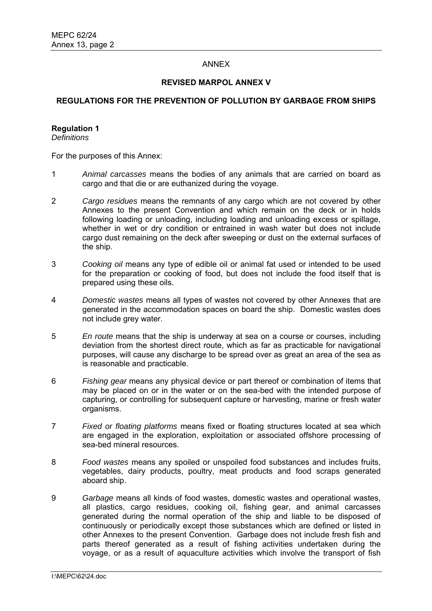#### ANNEX

## **REVISED MARPOL ANNEX V**

## **REGULATIONS FOR THE PREVENTION OF POLLUTION BY GARBAGE FROM SHIPS**

#### **Regulation 1**

*Definitions* 

For the purposes of this Annex:

- 1 *Animal carcasses* means the bodies of any animals that are carried on board as cargo and that die or are euthanized during the voyage.
- 2 *Cargo residues* means the remnants of any cargo which are not covered by other Annexes to the present Convention and which remain on the deck or in holds following loading or unloading, including loading and unloading excess or spillage, whether in wet or dry condition or entrained in wash water but does not include cargo dust remaining on the deck after sweeping or dust on the external surfaces of the ship.
- 3 *Cooking oil* means any type of edible oil or animal fat used or intended to be used for the preparation or cooking of food, but does not include the food itself that is prepared using these oils.
- 4 *Domestic wastes* means all types of wastes not covered by other Annexes that are generated in the accommodation spaces on board the ship. Domestic wastes does not include grey water.
- 5 *En route* means that the ship is underway at sea on a course or courses, including deviation from the shortest direct route, which as far as practicable for navigational purposes, will cause any discharge to be spread over as great an area of the sea as is reasonable and practicable.
- 6 *Fishing gear* means any physical device or part thereof or combination of items that may be placed on or in the water or on the sea-bed with the intended purpose of capturing, or controlling for subsequent capture or harvesting, marine or fresh water organisms.
- 7 *Fixed or floating platforms* means fixed or floating structures located at sea which are engaged in the exploration, exploitation or associated offshore processing of sea-bed mineral resources.
- 8 *Food wastes* means any spoiled or unspoiled food substances and includes fruits, vegetables, dairy products, poultry, meat products and food scraps generated aboard ship.
- 9 *Garbage* means all kinds of food wastes, domestic wastes and operational wastes, all plastics, cargo residues, cooking oil, fishing gear, and animal carcasses generated during the normal operation of the ship and liable to be disposed of continuously or periodically except those substances which are defined or listed in other Annexes to the present Convention. Garbage does not include fresh fish and parts thereof generated as a result of fishing activities undertaken during the voyage, or as a result of aquaculture activities which involve the transport of fish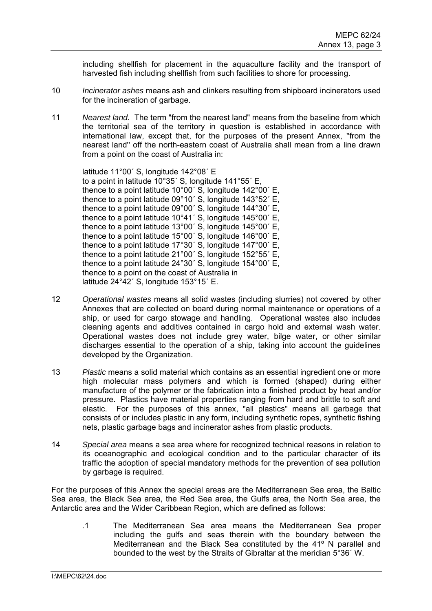including shellfish for placement in the aquaculture facility and the transport of harvested fish including shellfish from such facilities to shore for processing.

- 10 *Incinerator ashes* means ash and clinkers resulting from shipboard incinerators used for the incineration of garbage.
- 11 *Nearest land.* The term "from the nearest land" means from the baseline from which the territorial sea of the territory in question is established in accordance with international law, except that, for the purposes of the present Annex, ''from the nearest land'' off the north-eastern coast of Australia shall mean from a line drawn from a point on the coast of Australia in:

latitude 11°00΄ S, longitude 142°08΄ E to a point in latitude 10°35΄ S, longitude 141°55΄ E, thence to a point latitude 10°00΄ S, longitude 142°00΄ E, thence to a point latitude 09°10΄ S, longitude 143°52΄ E, thence to a point latitude 09°00΄ S, longitude 144°30΄ E, thence to a point latitude 10°41΄ S, longitude 145°00΄ E, thence to a point latitude 13°00΄ S, longitude 145°00΄ E, thence to a point latitude 15°00΄ S, longitude 146°00΄ E, thence to a point latitude 17°30΄ S, longitude 147°00΄ E, thence to a point latitude 21°00΄ S, longitude 152°55΄ E, thence to a point latitude 24°30΄ S, longitude 154°00΄ E, thence to a point on the coast of Australia in latitude 24°42΄ S, longitude 153°15΄ E.

- 12 *Operational wastes* means all solid wastes (including slurries) not covered by other Annexes that are collected on board during normal maintenance or operations of a ship, or used for cargo stowage and handling. Operational wastes also includes cleaning agents and additives contained in cargo hold and external wash water. Operational wastes does not include grey water, bilge water, or other similar discharges essential to the operation of a ship, taking into account the guidelines developed by the Organization.
- 13 *Plastic* means a solid material which contains as an essential ingredient one or more high molecular mass polymers and which is formed (shaped) during either manufacture of the polymer or the fabrication into a finished product by heat and/or pressure. Plastics have material properties ranging from hard and brittle to soft and elastic. For the purposes of this annex, "all plastics" means all garbage that consists of or includes plastic in any form, including synthetic ropes, synthetic fishing nets, plastic garbage bags and incinerator ashes from plastic products.
- 14 *Special area* means a sea area where for recognized technical reasons in relation to its oceanographic and ecological condition and to the particular character of its traffic the adoption of special mandatory methods for the prevention of sea pollution by garbage is required.

For the purposes of this Annex the special areas are the Mediterranean Sea area, the Baltic Sea area, the Black Sea area, the Red Sea area, the Gulfs area, the North Sea area, the Antarctic area and the Wider Caribbean Region, which are defined as follows:

.1 The Mediterranean Sea area means the Mediterranean Sea proper including the gulfs and seas therein with the boundary between the Mediterranean and the Black Sea constituted by the 41º N parallel and bounded to the west by the Straits of Gibraltar at the meridian 5°36΄ W.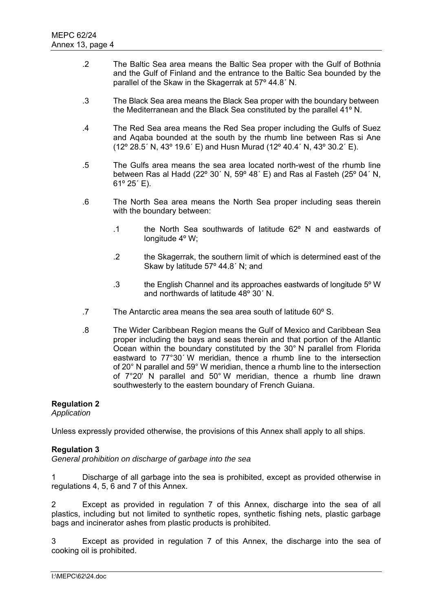- .2 The Baltic Sea area means the Baltic Sea proper with the Gulf of Bothnia and the Gulf of Finland and the entrance to the Baltic Sea bounded by the parallel of the Skaw in the Skagerrak at 57º 44.8΄ N.
- .3 The Black Sea area means the Black Sea proper with the boundary between the Mediterranean and the Black Sea constituted by the parallel 41º N.
- .4 The Red Sea area means the Red Sea proper including the Gulfs of Suez and Aqaba bounded at the south by the rhumb line between Ras si Ane (12º 28.5΄ N, 43º 19.6΄ E) and Husn Murad (12º 40.4΄ N, 43º 30.2΄ E).
- .5 The Gulfs area means the sea area located north-west of the rhumb line between Ras al Hadd (22º 30΄ N, 59º 48΄ E) and Ras al Fasteh (25º 04΄ N, 61º 25΄ E).
- .6 The North Sea area means the North Sea proper including seas therein with the boundary between:
	- .1 the North Sea southwards of latitude 62º N and eastwards of longitude 4º W;
	- .2 the Skagerrak, the southern limit of which is determined east of the Skaw by latitude 57º 44.8΄ N; and
	- .3 the English Channel and its approaches eastwards of longitude 5º W and northwards of latitude 48º 30΄ N.
- .7 The Antarctic area means the sea area south of latitude 60º S.
- .8 The Wider Caribbean Region means the Gulf of Mexico and Caribbean Sea proper including the bays and seas therein and that portion of the Atlantic Ocean within the boundary constituted by the 30° N parallel from Florida eastward to 77°30΄ W meridian, thence a rhumb line to the intersection of 20° N parallel and 59° W meridian, thence a rhumb line to the intersection of 7°20' N parallel and 50° W meridian, thence a rhumb line drawn southwesterly to the eastern boundary of French Guiana.

*Application* 

Unless expressly provided otherwise, the provisions of this Annex shall apply to all ships.

## **Regulation 3**

*General prohibition on discharge of garbage into the sea* 

1 Discharge of all garbage into the sea is prohibited, except as provided otherwise in regulations 4, 5, 6 and 7 of this Annex.

2 Except as provided in regulation 7 of this Annex, discharge into the sea of all plastics, including but not limited to synthetic ropes, synthetic fishing nets, plastic garbage bags and incinerator ashes from plastic products is prohibited.

3 Except as provided in regulation 7 of this Annex, the discharge into the sea of cooking oil is prohibited.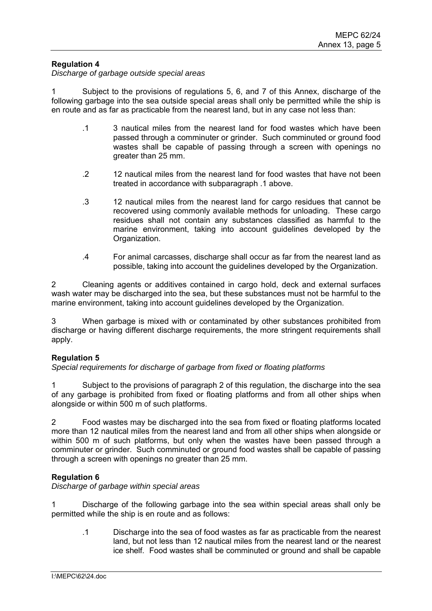#### *Discharge of garbage outside special areas*

Subject to the provisions of regulations 5, 6, and 7 of this Annex, discharge of the following garbage into the sea outside special areas shall only be permitted while the ship is en route and as far as practicable from the nearest land, but in any case not less than:

- .1 3 nautical miles from the nearest land for food wastes which have been passed through a comminuter or grinder. Such comminuted or ground food wastes shall be capable of passing through a screen with openings no greater than 25 mm.
- .2 12 nautical miles from the nearest land for food wastes that have not been treated in accordance with subparagraph .1 above.
- .3 12 nautical miles from the nearest land for cargo residues that cannot be recovered using commonly available methods for unloading. These cargo residues shall not contain any substances classified as harmful to the marine environment, taking into account guidelines developed by the Organization.
- .4 For animal carcasses, discharge shall occur as far from the nearest land as possible, taking into account the guidelines developed by the Organization.

2 Cleaning agents or additives contained in cargo hold, deck and external surfaces wash water may be discharged into the sea, but these substances must not be harmful to the marine environment, taking into account guidelines developed by the Organization.

3 When garbage is mixed with or contaminated by other substances prohibited from discharge or having different discharge requirements, the more stringent requirements shall apply.

## **Regulation 5**

*Special requirements for discharge of garbage from fixed or floating platforms* 

Subject to the provisions of paragraph 2 of this regulation, the discharge into the sea of any garbage is prohibited from fixed or floating platforms and from all other ships when alongside or within 500 m of such platforms.

2 Food wastes may be discharged into the sea from fixed or floating platforms located more than 12 nautical miles from the nearest land and from all other ships when alongside or within 500 m of such platforms, but only when the wastes have been passed through a comminuter or grinder. Such comminuted or ground food wastes shall be capable of passing through a screen with openings no greater than 25 mm.

## **Regulation 6**

*Discharge of garbage within special areas* 

1 Discharge of the following garbage into the sea within special areas shall only be permitted while the ship is en route and as follows:

.1 Discharge into the sea of food wastes as far as practicable from the nearest land, but not less than 12 nautical miles from the nearest land or the nearest ice shelf. Food wastes shall be comminuted or ground and shall be capable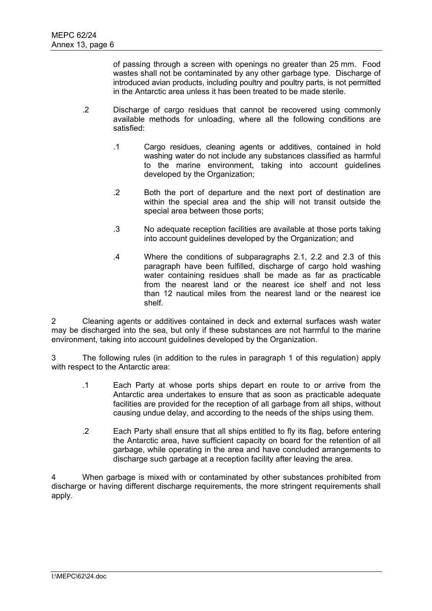of passing through a screen with openings no greater than 25 mm. Food wastes shall not be contaminated by any other garbage type. Discharge of introduced avian products, including poultry and poultry parts, is not permitted in the Antarctic area unless it has been treated to be made sterile.

- .2 Discharge of cargo residues that cannot be recovered using commonly available methods for unloading, where all the following conditions are satisfied:
	- .1 Cargo residues, cleaning agents or additives, contained in hold washing water do not include any substances classified as harmful to the marine environment, taking into account guidelines developed by the Organization;
	- .2 Both the port of departure and the next port of destination are within the special area and the ship will not transit outside the special area between those ports;
	- .3 No adequate reception facilities are available at those ports taking into account guidelines developed by the Organization; and
	- .4 Where the conditions of subparagraphs 2.1, 2.2 and 2.3 of this paragraph have been fulfilled, discharge of cargo hold washing water containing residues shall be made as far as practicable from the nearest land or the nearest ice shelf and not less than 12 nautical miles from the nearest land or the nearest ice shelf.

2 Cleaning agents or additives contained in deck and external surfaces wash water may be discharged into the sea, but only if these substances are not harmful to the marine environment, taking into account guidelines developed by the Organization.

3 The following rules (in addition to the rules in paragraph 1 of this regulation) apply with respect to the Antarctic area:

- .1 Each Party at whose ports ships depart en route to or arrive from the Antarctic area undertakes to ensure that as soon as practicable adequate facilities are provided for the reception of all garbage from all ships, without causing undue delay, and according to the needs of the ships using them.
- .2 Each Party shall ensure that all ships entitled to fly its flag, before entering the Antarctic area, have sufficient capacity on board for the retention of all garbage, while operating in the area and have concluded arrangements to discharge such garbage at a reception facility after leaving the area.

4 When garbage is mixed with or contaminated by other substances prohibited from discharge or having different discharge requirements, the more stringent requirements shall apply.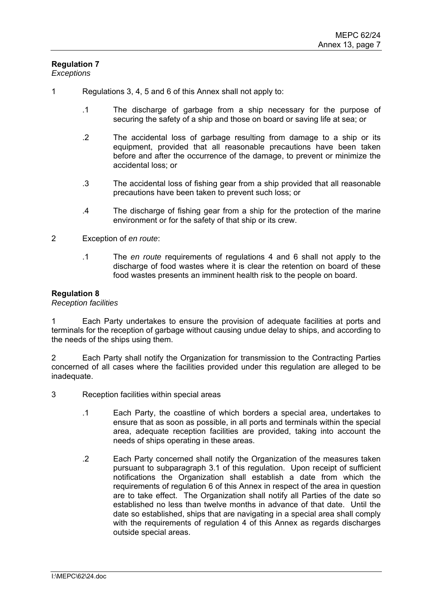#### *Exceptions*

- 1 Regulations 3, 4, 5 and 6 of this Annex shall not apply to:
	- .1 The discharge of garbage from a ship necessary for the purpose of securing the safety of a ship and those on board or saving life at sea; or
	- .2 The accidental loss of garbage resulting from damage to a ship or its equipment, provided that all reasonable precautions have been taken before and after the occurrence of the damage, to prevent or minimize the accidental loss; or
	- .3 The accidental loss of fishing gear from a ship provided that all reasonable precautions have been taken to prevent such loss; or
	- .4 The discharge of fishing gear from a ship for the protection of the marine environment or for the safety of that ship or its crew.
- 2 Exception of *en route*:
	- .1 The *en route* requirements of regulations 4 and 6 shall not apply to the discharge of food wastes where it is clear the retention on board of these food wastes presents an imminent health risk to the people on board.

## **Regulation 8**

*Reception facilities* 

1 Each Party undertakes to ensure the provision of adequate facilities at ports and terminals for the reception of garbage without causing undue delay to ships, and according to the needs of the ships using them.

2 Each Party shall notify the Organization for transmission to the Contracting Parties concerned of all cases where the facilities provided under this regulation are alleged to be inadequate.

- 3 Reception facilities within special areas
	- .1 Each Party, the coastline of which borders a special area, undertakes to ensure that as soon as possible, in all ports and terminals within the special area, adequate reception facilities are provided, taking into account the needs of ships operating in these areas.
	- .2 Each Party concerned shall notify the Organization of the measures taken pursuant to subparagraph 3.1 of this regulation. Upon receipt of sufficient notifications the Organization shall establish a date from which the requirements of regulation 6 of this Annex in respect of the area in question are to take effect. The Organization shall notify all Parties of the date so established no less than twelve months in advance of that date. Until the date so established, ships that are navigating in a special area shall comply with the requirements of regulation 4 of this Annex as regards discharges outside special areas.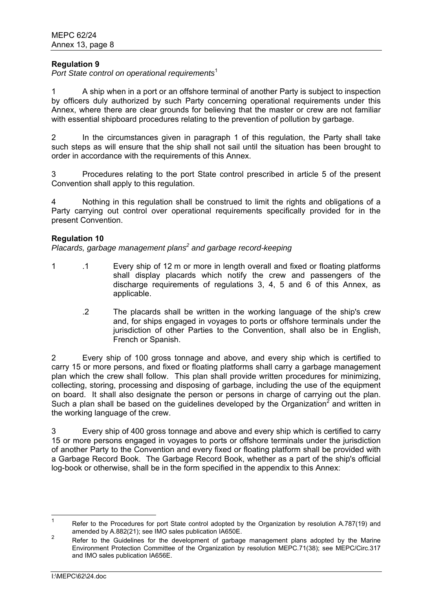*Port State control on operational requirements*<sup>1</sup>

1 A ship when in a port or an offshore terminal of another Party is subject to inspection by officers duly authorized by such Party concerning operational requirements under this Annex, where there are clear grounds for believing that the master or crew are not familiar with essential shipboard procedures relating to the prevention of pollution by garbage.

2 In the circumstances given in paragraph 1 of this regulation, the Party shall take such steps as will ensure that the ship shall not sail until the situation has been brought to order in accordance with the requirements of this Annex.

3 Procedures relating to the port State control prescribed in article 5 of the present Convention shall apply to this regulation.

4 Nothing in this regulation shall be construed to limit the rights and obligations of a Party carrying out control over operational requirements specifically provided for in the present Convention.

## **Regulation 10**

*Placards, garbage management plans<sup>2</sup> and garbage record-keeping* 

- 1 .1 Every ship of 12 m or more in length overall and fixed or floating platforms shall display placards which notify the crew and passengers of the discharge requirements of regulations 3, 4, 5 and 6 of this Annex, as applicable.
	- .2 The placards shall be written in the working language of the ship's crew and, for ships engaged in voyages to ports or offshore terminals under the jurisdiction of other Parties to the Convention, shall also be in English, French or Spanish.

2 Every ship of 100 gross tonnage and above, and every ship which is certified to carry 15 or more persons, and fixed or floating platforms shall carry a garbage management plan which the crew shall follow. This plan shall provide written procedures for minimizing, collecting, storing, processing and disposing of garbage, including the use of the equipment on board. It shall also designate the person or persons in charge of carrying out the plan. Such a plan shall be based on the guidelines developed by the Organization<sup>2</sup> and written in the working language of the crew.

3 Every ship of 400 gross tonnage and above and every ship which is certified to carry 15 or more persons engaged in voyages to ports or offshore terminals under the jurisdiction of another Party to the Convention and every fixed or floating platform shall be provided with a Garbage Record Book. The Garbage Record Book, whether as a part of the ship's official log-book or otherwise, shall be in the form specified in the appendix to this Annex:

 $\frac{1}{1}$  Refer to the Procedures for port State control adopted by the Organization by resolution A.787(19) and amended by A.882(21); see IMO sales publication IA650E.

<sup>2</sup> Refer to the Guidelines for the development of garbage management plans adopted by the Marine Environment Protection Committee of the Organization by resolution MEPC.71(38); see MEPC/Circ.317 and IMO sales publication IA656E.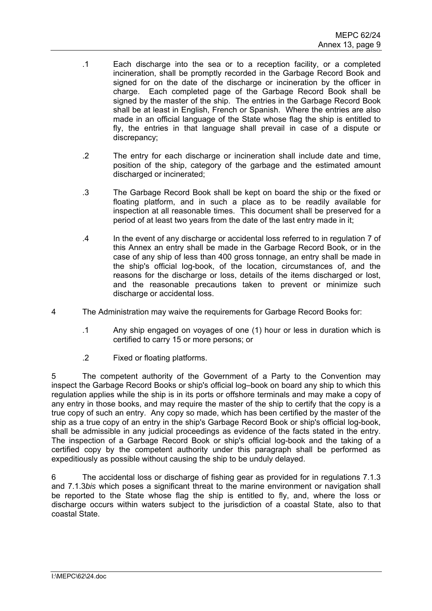- .1 Each discharge into the sea or to a reception facility, or a completed incineration, shall be promptly recorded in the Garbage Record Book and signed for on the date of the discharge or incineration by the officer in charge. Each completed page of the Garbage Record Book shall be signed by the master of the ship. The entries in the Garbage Record Book shall be at least in English, French or Spanish. Where the entries are also made in an official language of the State whose flag the ship is entitled to fly, the entries in that language shall prevail in case of a dispute or discrepancy;
- .2 The entry for each discharge or incineration shall include date and time, position of the ship, category of the garbage and the estimated amount discharged or incinerated;
- .3 The Garbage Record Book shall be kept on board the ship or the fixed or floating platform, and in such a place as to be readily available for inspection at all reasonable times. This document shall be preserved for a period of at least two years from the date of the last entry made in it;
- .4 In the event of any discharge or accidental loss referred to in regulation 7 of this Annex an entry shall be made in the Garbage Record Book, or in the case of any ship of less than 400 gross tonnage, an entry shall be made in the ship's official log-book, of the location, circumstances of, and the reasons for the discharge or loss, details of the items discharged or lost, and the reasonable precautions taken to prevent or minimize such discharge or accidental loss.
- 4 The Administration may waive the requirements for Garbage Record Books for:
	- .1 Any ship engaged on voyages of one (1) hour or less in duration which is certified to carry 15 or more persons; or
	- .2 Fixed or floating platforms.

5 The competent authority of the Government of a Party to the Convention may inspect the Garbage Record Books or ship's official log–book on board any ship to which this regulation applies while the ship is in its ports or offshore terminals and may make a copy of any entry in those books, and may require the master of the ship to certify that the copy is a true copy of such an entry. Any copy so made, which has been certified by the master of the ship as a true copy of an entry in the ship's Garbage Record Book or ship's official log-book, shall be admissible in any judicial proceedings as evidence of the facts stated in the entry. The inspection of a Garbage Record Book or ship's official log-book and the taking of a certified copy by the competent authority under this paragraph shall be performed as expeditiously as possible without causing the ship to be unduly delayed.

6 The accidental loss or discharge of fishing gear as provided for in regulations 7.1.3 and 7.1.3*bis* which poses a significant threat to the marine environment or navigation shall be reported to the State whose flag the ship is entitled to fly, and, where the loss or discharge occurs within waters subject to the jurisdiction of a coastal State, also to that coastal State.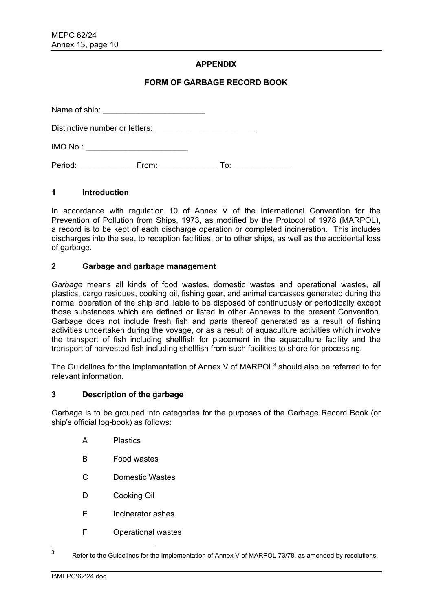## **APPENDIX**

## **FORM OF GARBAGE RECORD BOOK**

Name of ship: Distinctive number or letters: \_\_\_\_\_\_\_\_\_\_\_\_\_\_\_\_\_\_\_\_\_\_\_ IMO No.: \_\_\_\_\_\_\_\_\_\_\_\_\_\_\_\_\_\_\_\_\_\_\_

Period:\_\_\_\_\_\_\_\_\_\_\_\_\_ From: \_\_\_\_\_\_\_\_\_\_\_\_\_ To: \_\_\_\_\_\_\_\_\_\_\_\_\_

## **1 Introduction**

In accordance with regulation 10 of Annex V of the International Convention for the Prevention of Pollution from Ships, 1973, as modified by the Protocol of 1978 (MARPOL), a record is to be kept of each discharge operation or completed incineration. This includes discharges into the sea, to reception facilities, or to other ships, as well as the accidental loss of garbage.

## **2 Garbage and garbage management**

*Garbage* means all kinds of food wastes, domestic wastes and operational wastes, all plastics, cargo residues, cooking oil, fishing gear, and animal carcasses generated during the normal operation of the ship and liable to be disposed of continuously or periodically except those substances which are defined or listed in other Annexes to the present Convention. Garbage does not include fresh fish and parts thereof generated as a result of fishing activities undertaken during the voyage, or as a result of aquaculture activities which involve the transport of fish including shellfish for placement in the aquaculture facility and the transport of harvested fish including shellfish from such facilities to shore for processing.

The Guidelines for the Implementation of Annex V of MARPOL $^3$  should also be referred to for relevant information.

#### **3 Description of the garbage**

Garbage is to be grouped into categories for the purposes of the Garbage Record Book (or ship's official log-book) as follows:

- A Plastics
- B Food wastes
- C Domestic Wastes
- D Cooking Oil
- E Incinerator ashes
- F Operational wastes

<sup>—&</sup>lt;br>3 Refer to the Guidelines for the Implementation of Annex V of MARPOL 73/78, as amended by resolutions.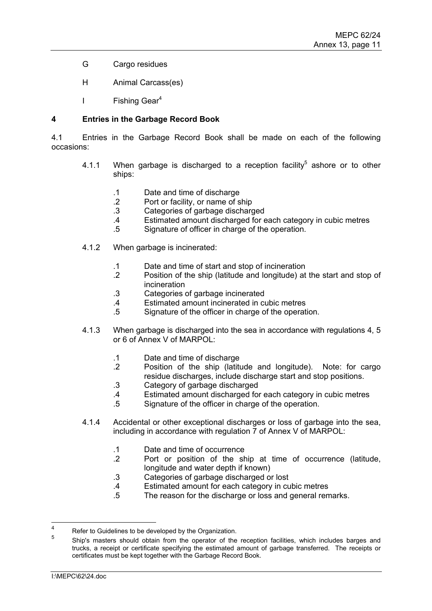- G Cargo residues
- H Animal Carcass(es)
- I Fishing Gear<sup>4</sup>

## **4 Entries in the Garbage Record Book**

4.1 Entries in the Garbage Record Book shall be made on each of the following occasions:

- 4.1.1 When garbage is discharged to a reception facility<sup>5</sup> ashore or to other ships:
	- .1 Date and time of discharge
	- .2 Port or facility, or name of ship
	- .3 Categories of garbage discharged
	- .4 Estimated amount discharged for each category in cubic metres
	- .5 Signature of officer in charge of the operation.
- 4.1.2 When garbage is incinerated:
	- .1 Date and time of start and stop of incineration
	- .2 Position of the ship (latitude and longitude) at the start and stop of incineration
	- .3 Categories of garbage incinerated
	- .4 Estimated amount incinerated in cubic metres
	- .5 Signature of the officer in charge of the operation.
- 4.1.3 When garbage is discharged into the sea in accordance with regulations 4, 5 or 6 of Annex V of MARPOL:
	- .1 Date and time of discharge
	- .2 Position of the ship (latitude and longitude). Note: for cargo residue discharges, include discharge start and stop positions.
	- .3 Category of garbage discharged
	- .4 Estimated amount discharged for each category in cubic metres
	- .5 Signature of the officer in charge of the operation.
- 4.1.4 Accidental or other exceptional discharges or loss of garbage into the sea, including in accordance with regulation 7 of Annex V of MARPOL:
	- .1 Date and time of occurrence
	- .2 Port or position of the ship at time of occurrence (latitude, longitude and water depth if known)
	- .3 Categories of garbage discharged or lost
	- .4 Estimated amount for each category in cubic metres
	- .5 The reason for the discharge or loss and general remarks.

<sup>-&</sup>lt;br>4 Refer to Guidelines to be developed by the Organization.

<sup>5</sup> Ship's masters should obtain from the operator of the reception facilities, which includes barges and trucks, a receipt or certificate specifying the estimated amount of garbage transferred. The receipts or certificates must be kept together with the Garbage Record Book.